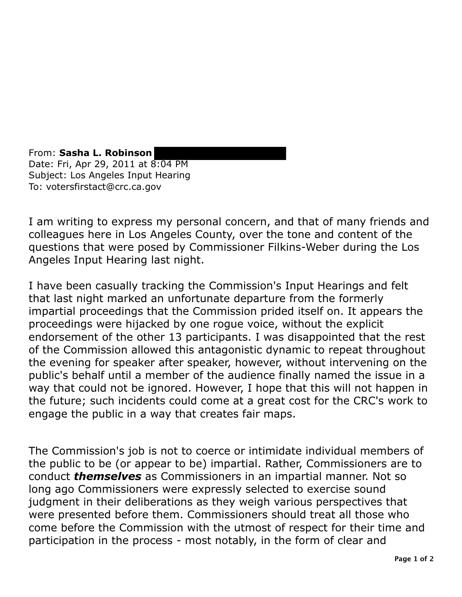From: **Sasha L. Robinson**  Date: Fri, Apr 29, 2011 at 8:04 PM Subject: Los Angeles Input Hearing To: votersfirstact@crc.ca.gov

I am writing to express my personal concern, and that of many friends and colleagues here in Los Angeles County, over the tone and content of the questions that were posed by Commissioner Filkins-Weber during the Los Angeles Input Hearing last night.

I have been casually tracking the Commission's Input Hearings and felt that last night marked an unfortunate departure from the formerly impartial proceedings that the Commission prided itself on. It appears the proceedings were hijacked by one rogue voice, without the explicit endorsement of the other 13 participants. I was disappointed that the rest of the Commission allowed this antagonistic dynamic to repeat throughout the evening for speaker after speaker, however, without intervening on the public's behalf until a member of the audience finally named the issue in a way that could not be ignored. However, I hope that this will not happen in the future; such incidents could come at a great cost for the CRC's work to engage the public in a way that creates fair maps.

The Commission's job is not to coerce or intimidate individual members of the public to be (or appear to be) impartial. Rather, Commissioners are to conduct *themselves* as Commissioners in an impartial manner. Not so long ago Commissioners were expressly selected to exercise sound judgment in their deliberations as they weigh various perspectives that were presented before them. Commissioners should treat all those who come before the Commission with the utmost of respect for their time and participation in the process - most notably, in the form of clear and